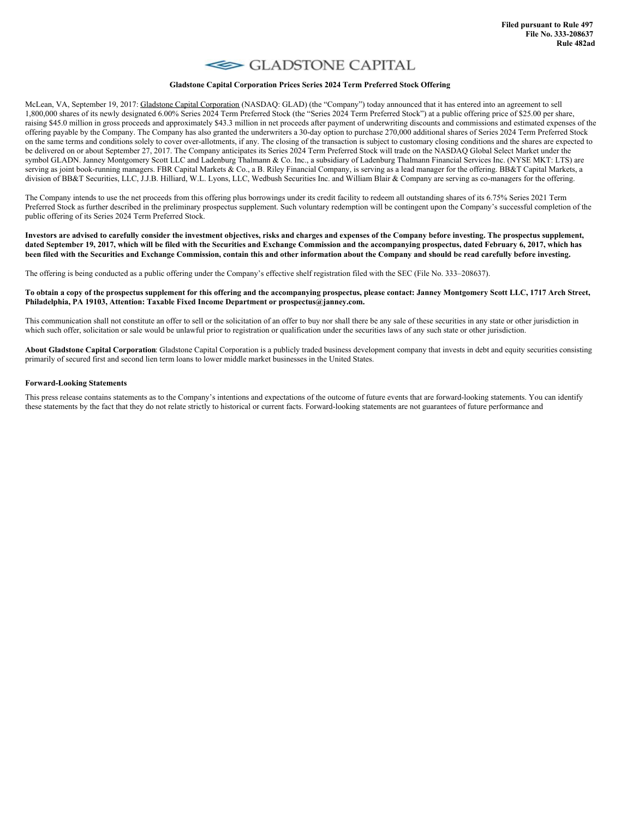## GLADSTONE CAPITAL

## **Gladstone Capital Corporation Prices Series 2024 Term Preferred Stock Offering**

McLean, VA, September 19, 2017: Gladstone Capital Corporation (NASDAQ: GLAD) (the "Company") today announced that it has entered into an agreement to sell 1,800,000 shares of its newly designated 6.00% Series 2024 Term Preferred Stock (the "Series 2024 Term Preferred Stock") at a public offering price of \$25.00 per share, raising \$45.0 million in gross proceeds and approximately \$43.3 million in net proceeds after payment of underwriting discounts and commissions and estimated expenses of the offering payable by the Company. The Company has also granted the underwriters a 30-day option to purchase 270,000 additional shares of Series 2024 Term Preferred Stock on the same terms and conditions solely to cover over-allotments, if any. The closing of the transaction is subject to customary closing conditions and the shares are expected to be delivered on or about September 27, 2017. The Company anticipates its Series 2024 Term Preferred Stock will trade on the NASDAQ Global Select Market under the symbol GLADN. Janney Montgomery Scott LLC and Ladenburg Thalmann & Co. Inc., a subsidiary of Ladenburg Thalmann Financial Services Inc. (NYSE MKT: LTS) are serving as joint book-running managers. FBR Capital Markets & Co., a B. Riley Financial Company, is serving as a lead manager for the offering. BB&T Capital Markets, a division of BB&T Securities, LLC, J.J.B. Hilliard, W.L. Lyons, LLC, Wedbush Securities Inc. and William Blair & Company are serving as co-managers for the offering.

The Company intends to use the net proceeds from this offering plus borrowings under its credit facility to redeem all outstanding shares of its 6.75% Series 2021 Term Preferred Stock as further described in the preliminary prospectus supplement. Such voluntary redemption will be contingent upon the Company's successful completion of the public offering of its Series 2024 Term Preferred Stock.

Investors are advised to carefully consider the investment objectives, risks and charges and expenses of the Company before investing. The prospectus supplement, dated September 19, 2017, which will be filed with the Securities and Exchange Commission and the accompanying prospectus, dated February 6, 2017, which has been filed with the Securities and Exchange Commission, contain this and other information about the Company and should be read carefully before investing.

The offering is being conducted as a public offering under the Company's effective shelf registration filed with the SEC (File No. 333–208637).

## To obtain a copy of the prospectus supplement for this offering and the accompanying prospectus, please contact: Janney Montgomery Scott LLC, 1717 Arch Street, **Philadelphia, PA 19103, Attention: Taxable Fixed Income Department or prospectus@janney.com.**

This communication shall not constitute an offer to sell or the solicitation of an offer to buy nor shall there be any sale of these securities in any state or other jurisdiction in which such offer, solicitation or sale would be unlawful prior to registration or qualification under the securities laws of any such state or other jurisdiction.

**About Gladstone Capital Corporation**: Gladstone Capital Corporation is a publicly traded business development company that invests in debt and equity securities consisting primarily of secured first and second lien term loans to lower middle market businesses in the United States.

## **Forward-Looking Statements**

This press release contains statements as to the Company's intentions and expectations of the outcome of future events that are forward-looking statements. You can identify these statements by the fact that they do not relate strictly to historical or current facts. Forward-looking statements are not guarantees of future performance and